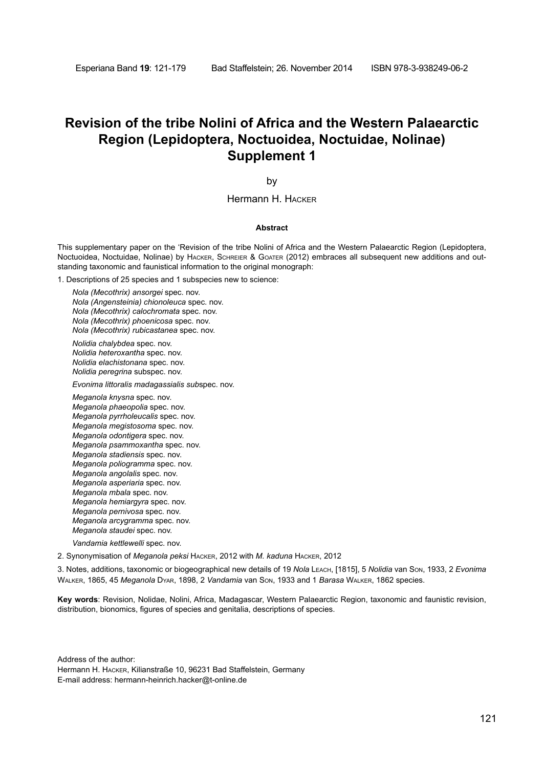## **Revision of the tribe Nolini of Africa and the Western Palaearctic Region (Lepidoptera, Noctuoidea, Noctuidae, Nolinae) Supplement 1**

by

Hermann H. Hacker

#### **Abstract**

This supplementary paper on the 'Revision of the tribe Nolini of Africa and the Western Palaearctic Region (Lepidoptera, Noctuoidea, Noctuidae, Nolinae) by Hacker, Schreier & Goater (2012) embraces all subsequent new additions and outstanding taxonomic and faunistical information to the original monograph:

1. Descriptions of 25 species and 1 subspecies new to science:

*Nola (Mecothrix) ansorgei* spec. nov. *Nola (Angensteinia) chionoleuca* spec. nov. *Nola (Mecothrix) calochromata* spec. nov. *Nola (Mecothrix) phoenicosa* spec. nov. *Nola (Mecothrix) rubicastanea* spec. nov.

*Nolidia chalybdea* spec. nov. *Nolidia heteroxantha* spec. nov. *Nolidia elachistonana* spec. nov. *Nolidia peregrina* subspec. nov.

*Evonima littoralis madagassialis sub*spec. nov.

*Meganola knysna* spec. nov. *Meganola phaeopolia* spec. nov. *Meganola pyrrholeucalis* spec. nov. *Meganola megistosoma* spec. nov. *Meganola odontigera* spec. nov. *Meganola psammoxantha* spec. nov. *Meganola stadiensis* spec. nov. *Meganola poliogramma* spec. nov. *Meganola angolalis* spec. nov. *Meganola asperiaria* spec. nov. *Meganola mbala* spec. nov. *Meganola hemiargyra* spec. nov. *Meganola pernivosa* spec. nov. *Meganola arcygramma* spec. nov. *Meganola staudei* spec. nov.

*Vandamia kettlewelli* spec. nov.

2. Synonymisation of *Meganola peksi* Hacker, 2012 with *M. kaduna* Hacker, 2012

3. Notes, additions, taxonomic or biogeographical new details of 19 *Nola* Leach, [1815], 5 *Nolidia* van Son, 1933, 2 *Evonima*  Walker, 1865, 45 *Meganola* Dyar, 1898, 2 *Vandamia* van Son, 1933 and 1 *Barasa* Walker, 1862 species.

**Key words**: Revision, Nolidae, Nolini, Africa, Madagascar, Western Palaearctic Region, taxonomic and faunistic revision, distribution, bionomics, figures of species and genitalia, descriptions of species.

Address of the author:

Hermann H. Hacker, Kilianstraße 10, 96231 Bad Staffelstein, Germany E-mail address: hermann-heinrich.hacker@t-online.de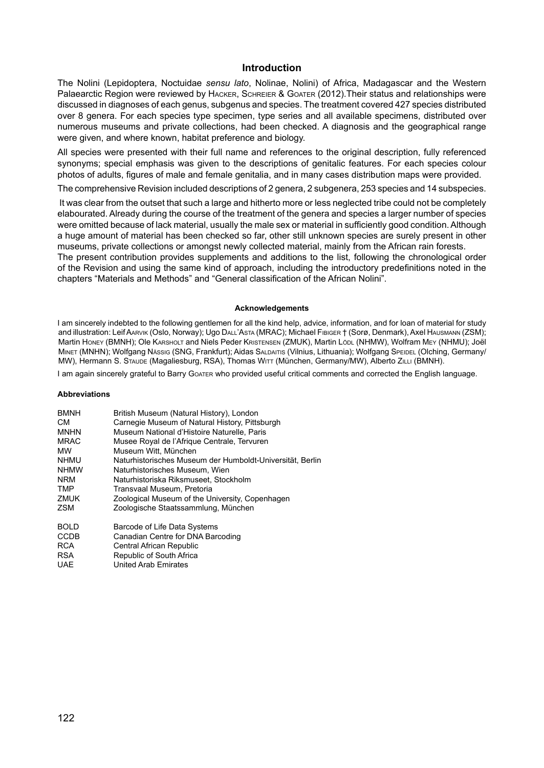## **Introduction**

The Nolini (Lepidoptera, Noctuidae *sensu lato*, Nolinae, Nolini) of Africa, Madagascar and the Western Palaearctic Region were reviewed by HACKER, SCHREIER & GOATER (2012). Their status and relationships were discussed in diagnoses of each genus, subgenus and species. The treatment covered 427 species distributed over 8 genera. For each species type specimen, type series and all available specimens, distributed over numerous museums and private collections, had been checked. A diagnosis and the geographical range were given, and where known, habitat preference and biology.

All species were presented with their full name and references to the original description, fully referenced synonyms; special emphasis was given to the descriptions of genitalic features. For each species colour photos of adults, figures of male and female genitalia, and in many cases distribution maps were provided.

The comprehensive Revision included descriptions of 2 genera, 2 subgenera, 253 species and 14 subspecies.

 It was clear from the outset that such a large and hitherto more or less neglected tribe could not be completely elabourated. Already during the course of the treatment of the genera and species a larger number of species were omitted because of lack material, usually the male sex or material in sufficiently good condition. Although a huge amount of material has been checked so far, other still unknown species are surely present in other museums, private collections or amongst newly collected material, mainly from the African rain forests. The present contribution provides supplements and additions to the list, following the chronological order

of the Revision and using the same kind of approach, including the introductory predefinitions noted in the chapters "Materials and Methods" and "General classification of the African Nolini".

#### **Acknowledgements**

I am sincerely indebted to the following gentlemen for all the kind help, advice, information, and for loan of material for study and illustration: Leif Aarvik (Oslo, Norway); Ugo Dall'Asta (MRAC); Michael Fibiger † (Sorø, Denmark), Axel Hausmann (ZSM); Martin Honey (BMNH); Ole Karsholt and Niels Peder Kristensen (ZMUK), Martin Lödl (NHMW), Wolfram Mey (NHMU); Joël Minet (MNHN); Wolfgang Nässig (SNG, Frankfurt); Aidas Saldaitis (Vilnius, Lithuania); Wolfgang Speidel (Olching, Germany/ MW), Hermann S. Staude (Magaliesburg, RSA), Thomas WITT (München, Germany/MW), Alberto ZILLI (BMNH).

I am again sincerely grateful to Barry Goater who provided useful critical comments and corrected the English language.

## **Abbreviations**

| <b>BMNH</b> | British Museum (Natural History), London                  |
|-------------|-----------------------------------------------------------|
| CМ          | Carnegie Museum of Natural History, Pittsburgh            |
| <b>MNHN</b> | Museum National d'Histoire Naturelle. Paris               |
| <b>MRAC</b> | Musee Royal de l'Afrique Centrale, Tervuren               |
| <b>MW</b>   | Museum Witt. München                                      |
| <b>NHMU</b> | Naturhistorisches Museum der Humboldt-Universität, Berlin |
| <b>NHMW</b> | Naturhistorisches Museum. Wien                            |
| <b>NRM</b>  | Naturhistoriska Riksmuseet. Stockholm                     |
| <b>TMP</b>  | Transvaal Museum, Pretoria                                |
| <b>ZMUK</b> | Zoological Museum of the University, Copenhagen           |
| <b>ZSM</b>  | Zoologische Staatssammlung, München                       |
| <b>BOLD</b> |                                                           |
| CCDB        | Barcode of Life Data Systems                              |
|             | Canadian Centre for DNA Barcoding                         |
| <b>RCA</b>  | Central African Republic                                  |
| <b>RSA</b>  | Republic of South Africa                                  |
| <b>UAE</b>  | <b>United Arab Emirates</b>                               |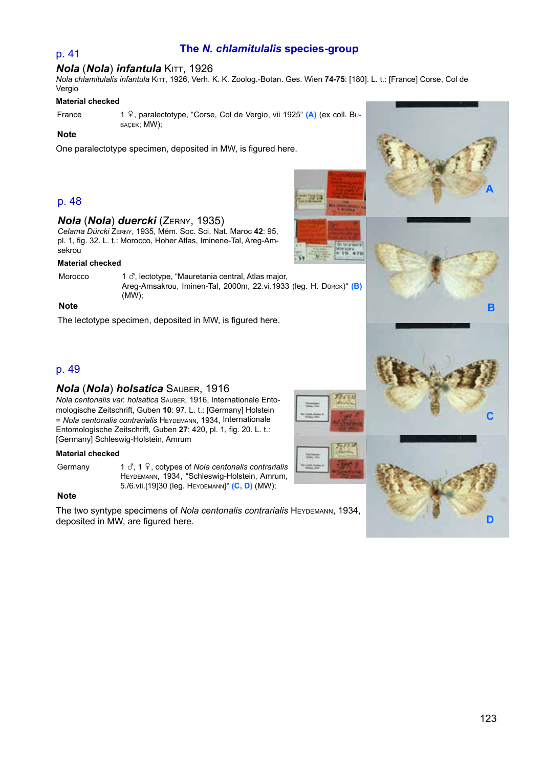## p. 41 **The** *N. chlamitulalis* **species-group**

## *Nola (Nola) infantula KITT, 1926*

*Nola chlamitulalis infantula* Kitt, 1926, Verh. K. K. Zoolog.-Botan. Ges. Wien **74-75**: [180]. L. t.: [France] Corse, Col de Vergio

## **Material checked**

France 1  $\frac{6}{7}$ , paralectotype, "Corse, Col de Vergio, vii 1925" **(A)** (ex coll. Bu-BAÇEK; MW);

## **Note**

One paralectotype specimen, deposited in MW, is figured here.

## p. 48

## *Nola* (*Nola*) *duercki* (Zerny, 1935)

*Celama Dürcki* Zerny, 1935, Mém. Soc. Sci. Nat. Maroc **42**: 95, pl. 1, fig. 32. L. t.: Morocco, Hoher Atlas, Iminene-Tal, Areg-Amsekrou

### **Material checked**

Morocco 1  $\sigma$ , lectotype, "Mauretania central, Atlas major, Areg-Amsakrou, Iminen-Tal, 2000m, 22.vi.1933 (leg. H. Dürck)" **(B)**  (MW);

## **Note**

The lectotype specimen, deposited in MW, is figured here.

## p. 49

## *Nola* (*Nola*) *holsatica* Sauber, 1916

*Nola centonalis var. holsatica* Sauber, 1916, Internationale Entomologische Zeitschrift, Guben **10**: 97. L. t.: [Germany] Holstein = *Nola centonalis contrarialis* Heydemann, 1934, Internationale Entomologische Zeitschrift, Guben **27**: 420, pl. 1, fig. 20. L. t.: [Germany] Schleswig-Holstein, Amrum

### **Material checked**

Germany 1  $\delta$ , 1  $\frac{1}{3}$ , cotypes of *Nola centonalis contrarialis* Heydemann, 1934, "Schleswig-Holstein, Amrum, 5./6.vii.[19]30 (leg. Heydemann}" **(C, D)** (MW);

## **Note**

The two syntype specimens of *Nola centonalis contrarialis* HEYDEMANN, 1934, deposited in MW, are figured here.



**Transa** 



**A**



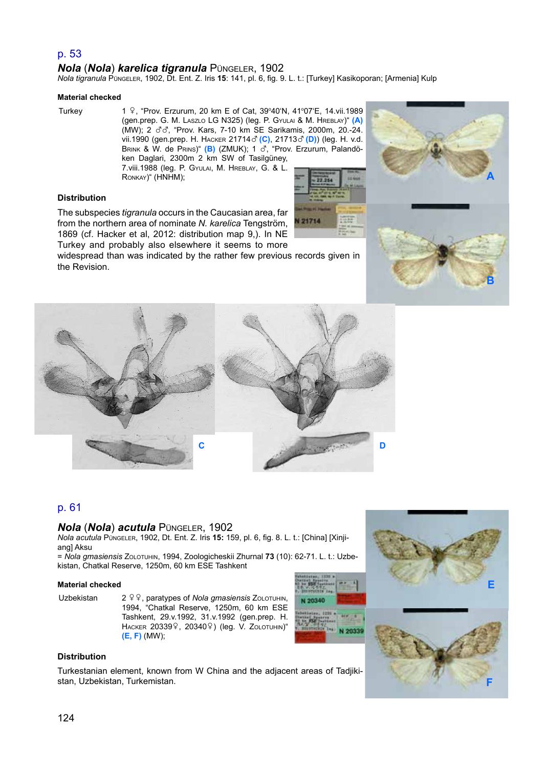## p. 53

## *Nola* (*Nola*) *karelica tigranula* Püngeler, 1902

*Nola tigranula* Püngeler, 1902, Dt. Ent. Z. Iris **15**: 141, pl. 6, fig. 9. L. t.: [Turkey] Kasikoporan; [Armenia] Kulp

#### **Material checked**

Turkey 1 9, "Prov. Erzurum, 20 km E of Cat, 39°40'N, 41°07'E, 14.vii.1989 (gen.prep. G. M. Laszlo LG N325) (leg. P. Gyulai & M. Hreblay)" **(A)**  (MW); 2  $\sigma$  $\sigma$ , "Prov. Kars, 7-10 km SE Sarikamis, 2000m, 20.-24. vii.1990 (gen.prep. H. Hacker 21714x **(C)**, <sup>21713</sup>x **(D)**) (leg. H. v.d. Brink & W. de Prins)" **(B)** (ZMUK); 1 x, "Prov. Erzurum, Palandöken Daglari, 2300m 2 km SW of Tasilgüney,

7.viii.1988 (leg. P. Gyulai, M. Hreblay, G. & L. Ronkay)" (HNHM);



## **Distribution**

The subspecies *tigranula* occurs in the Caucasian area, far from the northern area of nominate *N. karelica* Tengström, 1869 (cf. Hacker et al, 2012: distribution map 9,). In NE Turkey and probably also elsewhere it seems to more

widespread than was indicated by the rather few previous records given in the Revision.



**E**

**F**



## p. 61

## *Nola* (*Nola*) *acutula* Püngeler, 1902

*Nola acutula* Püngeler, 1902, Dt. Ent. Z. Iris **15:** 159, pl. 6, fig. 8. L. t.: [China] [Xinjiang] Aksu

= *Nola gmasiensis* Zolotuhin, 1994, Zoologicheskii Zhurnal **73** (10): 62-71. L. t.: Uzbekistan, Chatkal Reserve, 1250m, 60 km ESE Tashkent

#### **Material checked**

Uzbekistan 2<sup>99</sup>, paratypes of *Nola gmasiensis* Zolotuhin, 1994, "Chatkal Reserve, 1250m, 60 km ESE Tashkent, 29.v.1992, 31.v.1992 (gen.prep. H. HACKER 203399, 203409) (leg. V. ZOLOTUHIN)" **(E, F)** (MW);





Turkestanian element, known from W China and the adjacent areas of Tadjikistan, Uzbekistan, Turkemistan.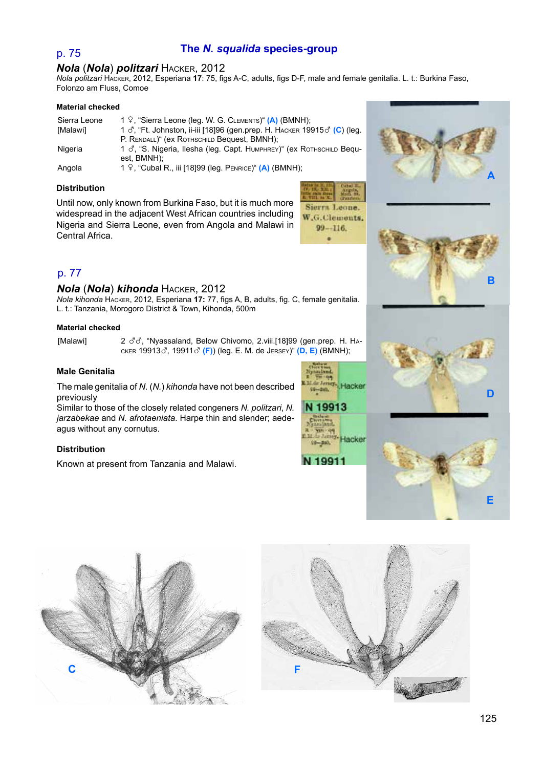## p. 75 **The** *N. squalida* **species-group**

## *Nola* (*Nola*) *politzari* Hacker, 2012

*Nola politzari* Hacker, 2012, Esperiana **17**: 75, figs A-C, adults, figs D-F, male and female genitalia. L. t.: Burkina Faso, Folonzo am Fluss, Comoe

#### **Material checked**

| Sierra Leone | 1 º, "Sierra Leone (leg. W. G. CLEMENTS)" (A) (BMNH);                                       |
|--------------|---------------------------------------------------------------------------------------------|
| [Malawi]     | 1 $\sigma$ , "Ft. Johnston, ii-iii [18]96 (gen.prep. H. HACKER 19915 $\sigma$ (C) (leg.     |
|              | P. RENDALL)" (EX ROTHSCHILD Bequest, BMNH);                                                 |
| Nigeria      | 1 $\sigma$ , "S. Nigeria, Ilesha (leg. Capt. Нимрнке $\gamma$ " (ех Rотн $\gamma$ сни Веди- |
|              | est. BMNH):                                                                                 |
| Angola       | 1 $9$ , "Cubal R., iii [18]99 (leg. PENRICE)" (A) (BMNH);                                   |

### **Distribution**

Until now, only known from Burkina Faso, but it is much more widespread in the adjacent West African countries including Nigeria and Sierra Leone, even from Angola and Malawi in Central Africa.



## p. 77

## *Nola* (*Nola*) *kihonda* Hacker, 2012

*Nola kihonda* Hacker, 2012, Esperiana **17:** 77, figs A, B, adults, fig. C, female genitalia. L. t.: Tanzania, Morogoro District & Town, Kihonda, 500m

## **Material checked**

[Malawi] 2  $\partial \partial$ , "Nyassaland, Below Chivomo, 2.viii.[18]99 (gen.prep. H. HAcker 19913x, <sup>19911</sup>x **(F)**) (leg. E. M. de Jersey)" **(D, E)** (BMNH);

## **Male Genitalia**

The male genitalia of *N.* (*N.*) *kihonda* have not been described previously

Similar to those of the closely related congeners *N. politzari*, *N. jarzabekae* and *N. afrotaeniata*. Harpe thin and slender; aedeagus without any cornutus.

## **Distribution**

Known at present from Tanzania and Malawi.













**B**

**D**

**A**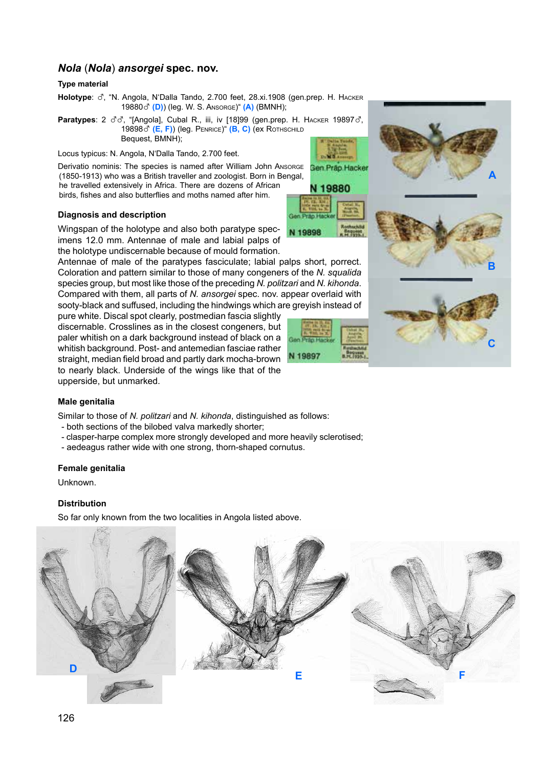## *Nola* (*Nola*) *ansorgei* **spec. nov.**

## **Type material**

Holotype:  $\sigma$ , "N. Angola, N'Dalla Tando, 2.700 feet, 28.xi.1908 (gen.prep. H. HACKER <sup>19880</sup>x **(D)**) (leg. W. S. Ansorge)" **(A)** (BMNH);

**Paratypes**:  $2 \text{ } \text{C} \text{C}$ , "[Angola], Cubal R., iii, iv [18]99 (gen.prep. H. HACKER 19897 $\text{C}$ , 19898  $\vec{C}$  (**E, F)**) (leg. PENRICE)" (**B, C)** (ex ROTHSCHILD Bequest, BMNH);

Locus typicus: N. Angola, N'Dalla Tando, 2.700 feet.

Derivatio nominis: The species is named after William John Ansorge (1850-1913) who was a British traveller and zoologist. Born in Bengal, he travelled extensively in Africa. There are dozens of African

N 19880 birds, fishes and also butterflies and moths named after him.

**N 19898** 

N 19897

## **Diagnosis and description**

Wingspan of the holotype and also both paratype specimens 12.0 mm. Antennae of male and labial palps of the holotype undiscernable because of mould formation.

Antennae of male of the paratypes fasciculate; labial palps short, porrect. Coloration and pattern similar to those of many congeners of the *N. squalida* species group, but most like those of the preceding *N. politzari* and *N. kihonda*. Compared with them, all parts of *N. ansorgei* spec. nov. appear overlaid with sooty-black and suffused, including the hindwings which are greyish instead of

pure white. Discal spot clearly, postmedian fascia slightly discernable. Crosslines as in the closest congeners, but paler whitish on a dark background instead of black on a whitish background. Post- and antemedian fasciae rather straight, median field broad and partly dark mocha-brown to nearly black. Underside of the wings like that of the upperside, but unmarked.

## **Male genitalia**

Similar to those of *N. politzari* and *N. kihonda*, distinguished as follows:

- both sections of the bilobed valva markedly shorter;
- clasper-harpe complex more strongly developed and more heavily sclerotised;
- aedeagus rather wide with one strong, thorn-shaped cornutus.

## **Female genitalia**

**Unknown** 

## **Distribution**

So far only known from the two localities in Angola listed above.





**C**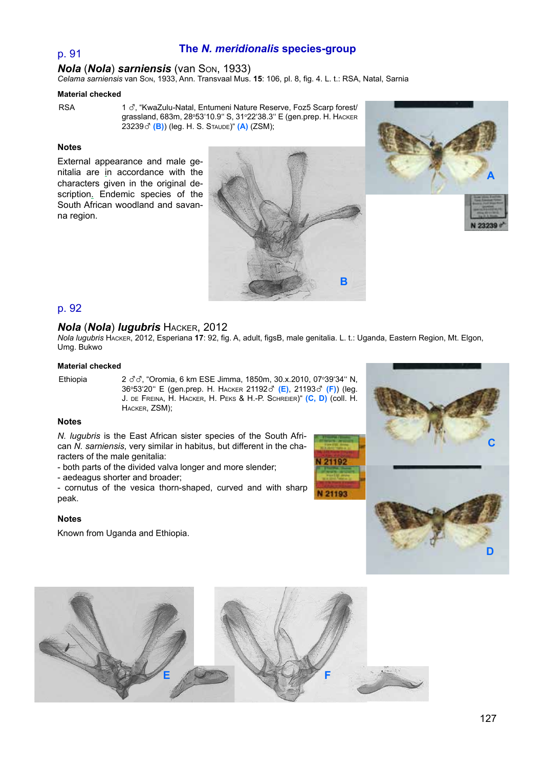## **The** *N. meridionalis* **species-group**

## *Nola* (*Nola*) *sarniensis* (van Son, 1933)

*Celama sarniensis* van Son, 1933, Ann. Transvaal Mus. **15**: 106, pl. 8, fig. 4. L. t.: RSA, Natal, Sarnia

## **Material checked**

p. 91

RSA 1  $\sigma$ . "KwaZulu-Natal, Entumeni Nature Reserve, Foz5 Scarp forest/ grassland, 683m, 28º53'10.9'' S, 31º22'38.3'' E (gen.prep. Н. Нѧскɛʀ <sup>23239</sup>x **(B)**) (leg. H. S. Staude)" **(A)** (ZSM);

## **Notes**

External appearance and male genitalia are in accordance with the characters given in the original description. Endemic species of the South African woodland and savanna region.





## p. 92

## *Nola* (*Nola*) *lugubris* Hacker, 2012

*Nola lugubris* Hacker, 2012, Esperiana **17**: 92, fig. A, adult, figsB, male genitalia. L. t.: Uganda, Eastern Region, Mt. Elgon, Umg. Bukwo

1192

21193

## **Material checked**

Ethiopia 2  $\sigma \sigma$ , "Oromia, 6 km ESE Jimma, 1850m, 30.x.2010, 07°39'34" N, 200, Oroma, o km ESE chimia, 1999, 1, 2012, 2010, 01 0304 R,<br>36°53'20" E (gen.prep. H. Hacker 21192*3*' (E), 21193*3*' (F)) (leg. J. de Freina, H. Hacker, H. Peks & H.-P. Schreier)" **(C, D)** (coll. H. Hacker, ZSM);

## **Notes**

*N. lugubris* is the East African sister species of the South African *N. sarniensis*, very similar in habitus, but different in the characters of the male genitalia:

- both parts of the divided valva longer and more slender;
- aedeagus shorter and broader;

- cornutus of the vesica thorn-shaped, curved and with sharp peak.

### **Notes**

Known from Uganda and Ethiopia.